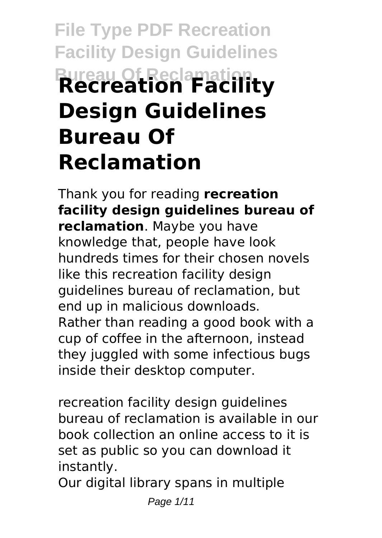# **File Type PDF Recreation Facility Design Guidelines Bureau Of Reclamation Recreation Facility Design Guidelines Bureau Of Reclamation**

Thank you for reading **recreation facility design guidelines bureau of reclamation**. Maybe you have knowledge that, people have look hundreds times for their chosen novels like this recreation facility design guidelines bureau of reclamation, but end up in malicious downloads. Rather than reading a good book with a cup of coffee in the afternoon, instead they juggled with some infectious bugs inside their desktop computer.

recreation facility design guidelines bureau of reclamation is available in our book collection an online access to it is set as public so you can download it instantly.

Our digital library spans in multiple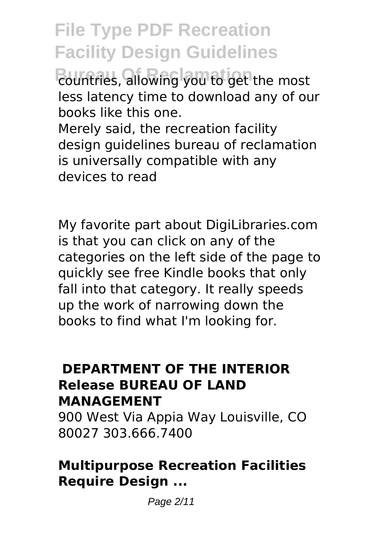**File Type PDF Recreation Facility Design Guidelines**

**Bountries, allowing you to get the most** less latency time to download any of our books like this one.

Merely said, the recreation facility design guidelines bureau of reclamation is universally compatible with any devices to read

My favorite part about DigiLibraries.com is that you can click on any of the categories on the left side of the page to quickly see free Kindle books that only fall into that category. It really speeds up the work of narrowing down the books to find what I'm looking for.

#### **DEPARTMENT OF THE INTERIOR Release BUREAU OF LAND MANAGEMENT**

900 West Via Appia Way Louisville, CO 80027 303.666.7400

#### **Multipurpose Recreation Facilities Require Design ...**

Page 2/11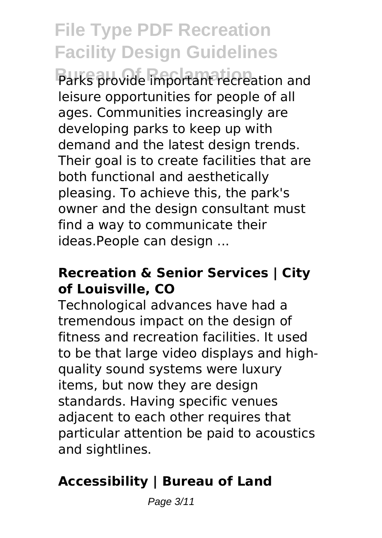## **File Type PDF Recreation Facility Design Guidelines**

Parks provide important recreation and leisure opportunities for people of all ages. Communities increasingly are developing parks to keep up with demand and the latest design trends. Their goal is to create facilities that are both functional and aesthetically pleasing. To achieve this, the park's owner and the design consultant must find a way to communicate their ideas.People can design ...

#### **Recreation & Senior Services | City of Louisville, CO**

Technological advances have had a tremendous impact on the design of fitness and recreation facilities. It used to be that large video displays and highquality sound systems were luxury items, but now they are design standards. Having specific venues adjacent to each other requires that particular attention be paid to acoustics and sightlines.

## **Accessibility | Bureau of Land**

Page 3/11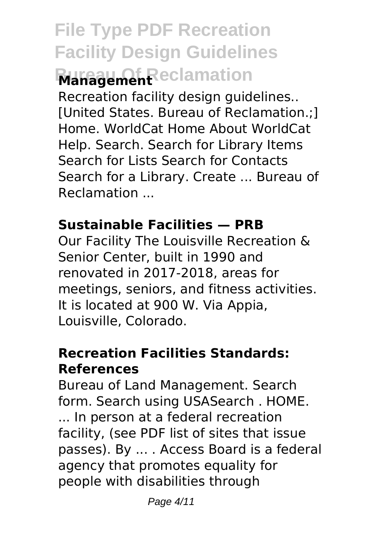## **File Type PDF Recreation Facility Design Guidelines Burgement** Reclamation

Recreation facility design guidelines.. [United States. Bureau of Reclamation.;] Home. WorldCat Home About WorldCat Help. Search. Search for Library Items Search for Lists Search for Contacts Search for a Library. Create ... Bureau of Reclamation ...

#### **Sustainable Facilities — PRB**

Our Facility The Louisville Recreation & Senior Center, built in 1990 and renovated in 2017-2018, areas for meetings, seniors, and fitness activities. It is located at 900 W. Via Appia, Louisville, Colorado.

### **Recreation Facilities Standards: References**

Bureau of Land Management. Search form. Search using USASearch . HOME. ... In person at a federal recreation facility, (see PDF list of sites that issue passes). By ... . Access Board is a federal agency that promotes equality for people with disabilities through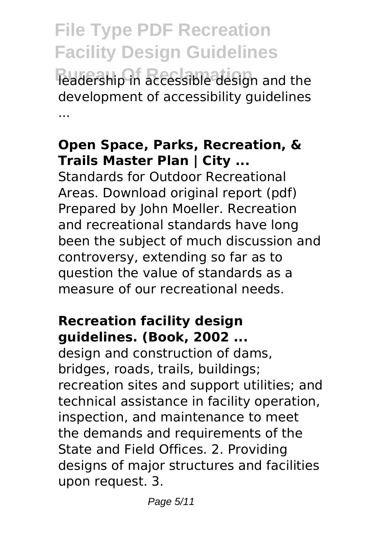**File Type PDF Recreation Facility Design Guidelines Bureau of the Bureau of the Bureau of the Bureau of the Bureau of the Bureau in and the** development of accessibility guidelines ...

#### **Open Space, Parks, Recreation, & Trails Master Plan | City ...**

Standards for Outdoor Recreational Areas. Download original report (pdf) Prepared by John Moeller. Recreation and recreational standards have long been the subject of much discussion and controversy, extending so far as to question the value of standards as a measure of our recreational needs.

#### **Recreation facility design guidelines. (Book, 2002 ...**

design and construction of dams, bridges, roads, trails, buildings; recreation sites and support utilities; and technical assistance in facility operation, inspection, and maintenance to meet the demands and requirements of the State and Field Offices. 2. Providing designs of major structures and facilities upon request. 3.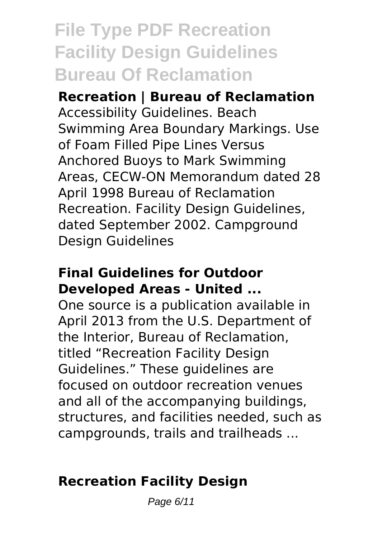## **File Type PDF Recreation Facility Design Guidelines Bureau Of Reclamation**

**Recreation | Bureau of Reclamation** Accessibility Guidelines. Beach Swimming Area Boundary Markings. Use of Foam Filled Pipe Lines Versus Anchored Buoys to Mark Swimming Areas, CECW-ON Memorandum dated 28 April 1998 Bureau of Reclamation Recreation. Facility Design Guidelines, dated September 2002. Campground Design Guidelines

#### **Final Guidelines for Outdoor Developed Areas - United ...**

One source is a publication available in April 2013 from the U.S. Department of the Interior, Bureau of Reclamation, titled "Recreation Facility Design Guidelines." These guidelines are focused on outdoor recreation venues and all of the accompanying buildings, structures, and facilities needed, such as campgrounds, trails and trailheads ...

## **Recreation Facility Design**

Page 6/11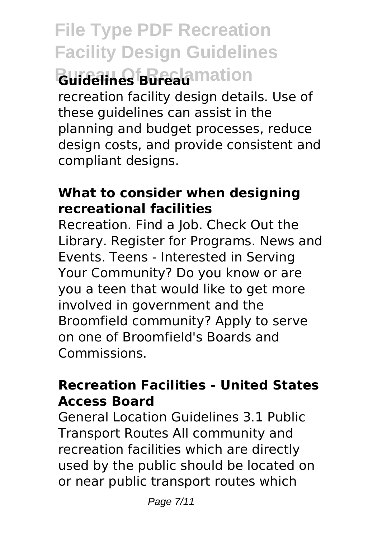**File Type PDF Recreation Facility Design Guidelines Buidelines Bureau** mation recreation facility design details. Use of these guidelines can assist in the planning and budget processes, reduce design costs, and provide consistent and compliant designs.

#### **What to consider when designing recreational facilities**

Recreation. Find a Job. Check Out the Library. Register for Programs. News and Events. Teens - Interested in Serving Your Community? Do you know or are you a teen that would like to get more involved in government and the Broomfield community? Apply to serve on one of Broomfield's Boards and Commissions.

#### **Recreation Facilities - United States Access Board**

General Location Guidelines 3.1 Public Transport Routes All community and recreation facilities which are directly used by the public should be located on or near public transport routes which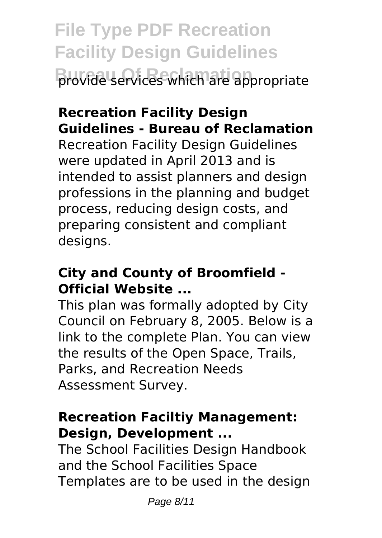**File Type PDF Recreation Facility Design Guidelines Bureau Of Reclamation** provide services which are appropriate

## **Recreation Facility Design Guidelines - Bureau of Reclamation**

Recreation Facility Design Guidelines were updated in April 2013 and is intended to assist planners and design professions in the planning and budget process, reducing design costs, and preparing consistent and compliant desians.

#### **City and County of Broomfield - Official Website ...**

This plan was formally adopted by City Council on February 8, 2005. Below is a link to the complete Plan. You can view the results of the Open Space, Trails, Parks, and Recreation Needs Assessment Survey.

#### **Recreation Faciltiy Management: Design, Development ...**

The School Facilities Design Handbook and the School Facilities Space Templates are to be used in the design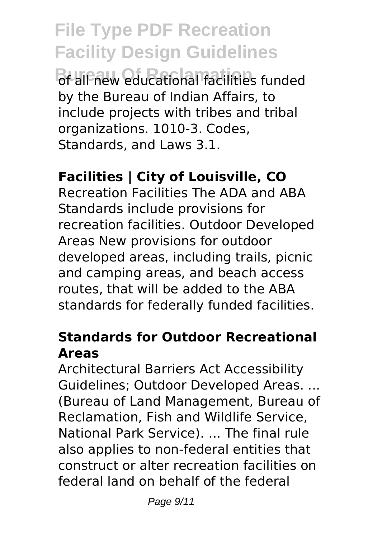**File Type PDF Recreation Facility Design Guidelines Bureau Constitutional facilities funded** by the Bureau of Indian Affairs, to include projects with tribes and tribal organizations. 1010-3. Codes, Standards, and Laws 3.1.

### **Facilities | City of Louisville, CO**

Recreation Facilities The ADA and ABA Standards include provisions for recreation facilities. Outdoor Developed Areas New provisions for outdoor developed areas, including trails, picnic and camping areas, and beach access routes, that will be added to the ABA standards for federally funded facilities.

#### **Standards for Outdoor Recreational Areas**

Architectural Barriers Act Accessibility Guidelines; Outdoor Developed Areas. ... (Bureau of Land Management, Bureau of Reclamation, Fish and Wildlife Service, National Park Service). ... The final rule also applies to non-federal entities that construct or alter recreation facilities on federal land on behalf of the federal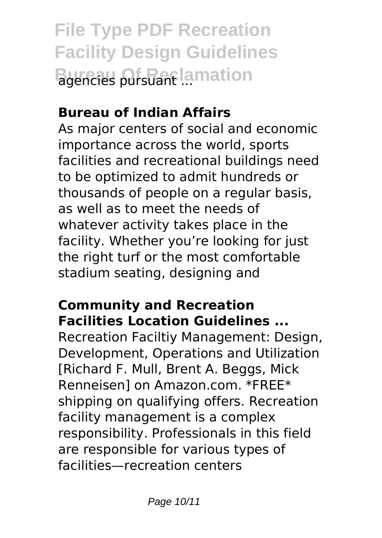**File Type PDF Recreation Facility Design Guidelines Bureau of Pursuant ...**<br> **Bureau Pursuant ...** 

## **Bureau of Indian Affairs**

As major centers of social and economic importance across the world, sports facilities and recreational buildings need to be optimized to admit hundreds or thousands of people on a regular basis, as well as to meet the needs of whatever activity takes place in the facility. Whether you're looking for just the right turf or the most comfortable stadium seating, designing and

## **Community and Recreation Facilities Location Guidelines ...**

Recreation Faciltiy Management: Design, Development, Operations and Utilization [Richard F. Mull, Brent A. Beggs, Mick Renneisen] on Amazon.com. \*FREE\* shipping on qualifying offers. Recreation facility management is a complex responsibility. Professionals in this field are responsible for various types of facilities—recreation centers